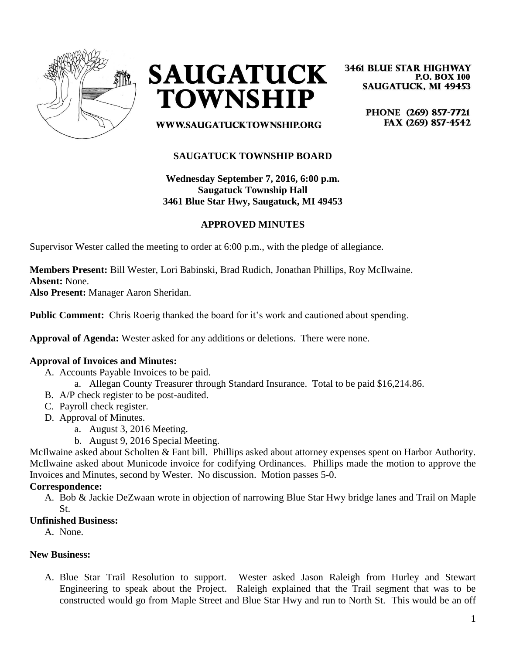



**3461 BLUE STAR HIGHWAY P.O. BOX 100 SAUGATUCK, MI 49453** 

> PHONE (269) 857-7721 FAX (269) 857-4542

WWW.SAUGATUCKTOWNSHIP.ORG

## **SAUGATUCK TOWNSHIP BOARD**

**Wednesday September 7, 2016, 6:00 p.m. Saugatuck Township Hall 3461 Blue Star Hwy, Saugatuck, MI 49453**

### **APPROVED MINUTES**

Supervisor Wester called the meeting to order at 6:00 p.m., with the pledge of allegiance.

**Members Present:** Bill Wester, Lori Babinski, Brad Rudich, Jonathan Phillips, Roy McIlwaine. **Absent:** None.

**Also Present:** Manager Aaron Sheridan.

**Public Comment:** Chris Roerig thanked the board for it's work and cautioned about spending.

**Approval of Agenda:** Wester asked for any additions or deletions. There were none.

### **Approval of Invoices and Minutes:**

- A. Accounts Payable Invoices to be paid.
	- a. Allegan County Treasurer through Standard Insurance. Total to be paid \$16,214.86.
- B. A/P check register to be post-audited.
- C. Payroll check register.
- D. Approval of Minutes.
	- a. August 3, 2016 Meeting.
	- b. August 9, 2016 Special Meeting.

McIlwaine asked about Scholten & Fant bill. Phillips asked about attorney expenses spent on Harbor Authority. McIlwaine asked about Municode invoice for codifying Ordinances. Phillips made the motion to approve the Invoices and Minutes, second by Wester. No discussion. Motion passes 5-0.

### **Correspondence:**

A. Bob & Jackie DeZwaan wrote in objection of narrowing Blue Star Hwy bridge lanes and Trail on Maple St.

### **Unfinished Business:**

A. None.

#### **New Business:**

A. Blue Star Trail Resolution to support. Wester asked Jason Raleigh from Hurley and Stewart Engineering to speak about the Project. Raleigh explained that the Trail segment that was to be constructed would go from Maple Street and Blue Star Hwy and run to North St. This would be an off